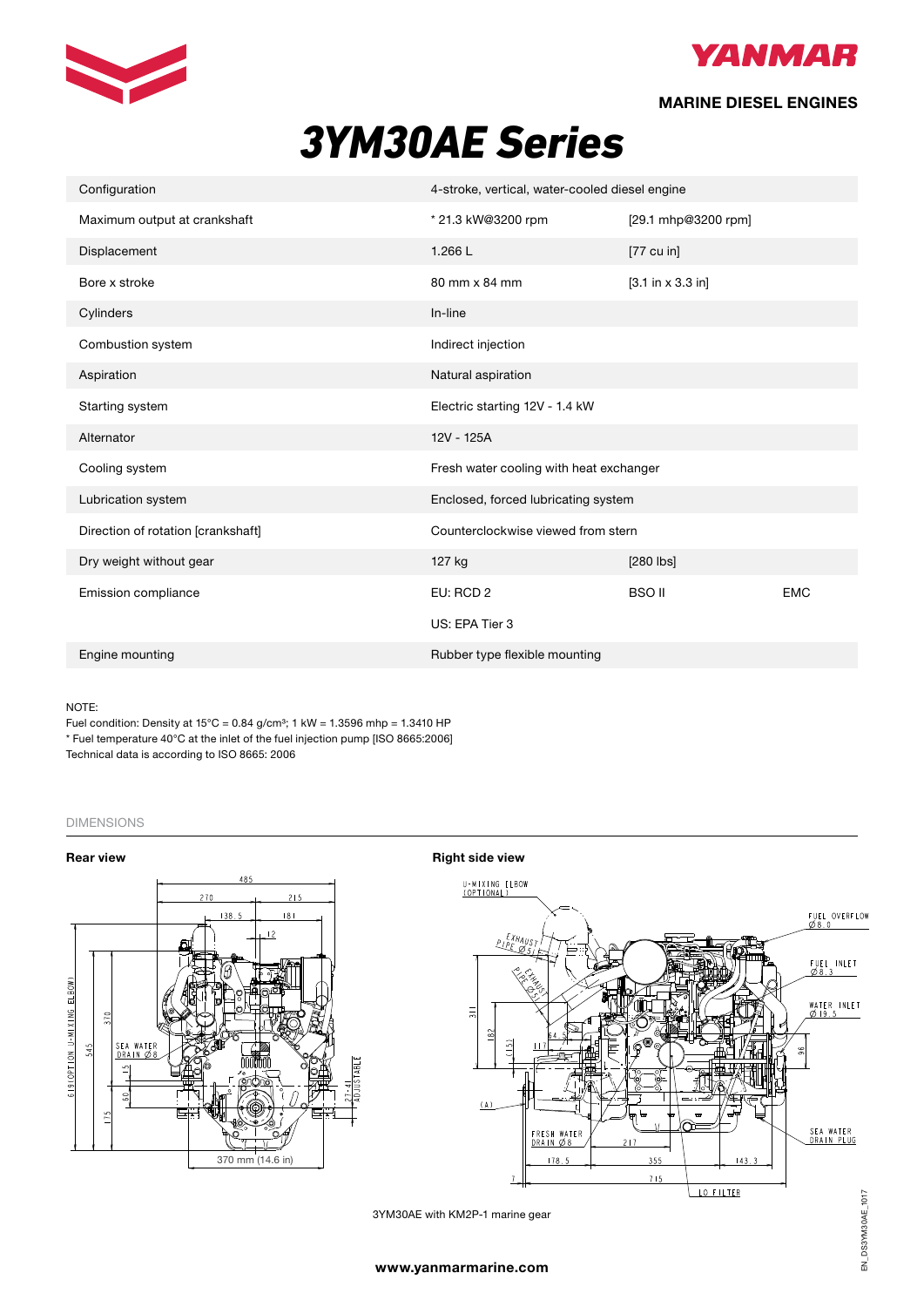



## MARINE DIESEL ENGINES

# *3YM30AE Series*

| Configuration                      | 4-stroke, vertical, water-cooled diesel engine |                                      |            |
|------------------------------------|------------------------------------------------|--------------------------------------|------------|
| Maximum output at crankshaft       | * 21.3 kW@3200 rpm                             | [29.1 mhp@3200 rpm]                  |            |
| Displacement                       | 1.266L                                         | $[77$ cu in]                         |            |
| Bore x stroke                      | 80 mm x 84 mm                                  | $[3.1 \text{ in } x 3.3 \text{ in}]$ |            |
| Cylinders                          | In-line                                        |                                      |            |
| Combustion system                  | Indirect injection                             |                                      |            |
| Aspiration                         | Natural aspiration                             |                                      |            |
| Starting system                    | Electric starting 12V - 1.4 kW                 |                                      |            |
| Alternator                         | 12V - 125A                                     |                                      |            |
| Cooling system                     | Fresh water cooling with heat exchanger        |                                      |            |
| Lubrication system                 | Enclosed, forced lubricating system            |                                      |            |
| Direction of rotation [crankshaft] | Counterclockwise viewed from stern             |                                      |            |
| Dry weight without gear            | 127 kg                                         | $[280$ $\sqrt{25}$                   |            |
| Emission compliance                | EU: RCD 2                                      | <b>BSO II</b>                        | <b>EMC</b> |
|                                    | US: EPA Tier 3                                 |                                      |            |
| Engine mounting                    | Rubber type flexible mounting                  |                                      |            |

## NOTE:

Fuel condition: Density at  $15^{\circ}$ C = 0.84 g/cm<sup>3</sup>; 1 kW = 1.3596 mhp = 1.3410 HP \* Fuel temperature 40°C at the inlet of the fuel injection pump [ISO 8665:2006] Technical data is according to ISO 8665: 2006

### DIMENSIONS





3YM30AE with KM2P-1 marine gear